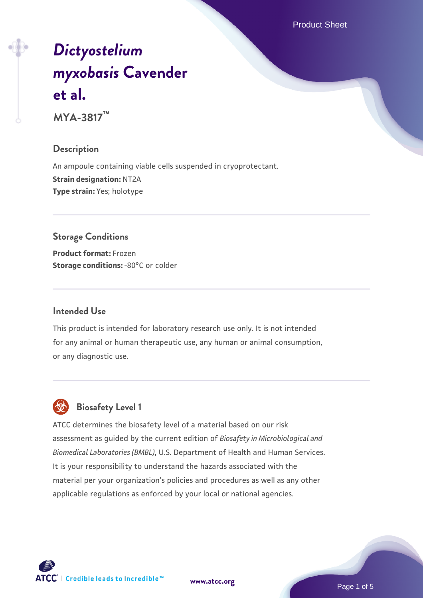Product Sheet

# *[Dictyostelium](https://www.atcc.org/products/mya-3817) [myxobasis](https://www.atcc.org/products/mya-3817)* **[Cavender](https://www.atcc.org/products/mya-3817) [et al.](https://www.atcc.org/products/mya-3817)**

**MYA-3817™**

#### **Description**

An ampoule containing viable cells suspended in cryoprotectant. **Strain designation:** NT2A **Type strain:** Yes; holotype

# **Storage Conditions**

**Product format:** Frozen **Storage conditions: -80°C or colder** 

#### **Intended Use**

This product is intended for laboratory research use only. It is not intended for any animal or human therapeutic use, any human or animal consumption, or any diagnostic use.

# **Biosafety Level 1**

ATCC determines the biosafety level of a material based on our risk assessment as guided by the current edition of *Biosafety in Microbiological and Biomedical Laboratories (BMBL)*, U.S. Department of Health and Human Services. It is your responsibility to understand the hazards associated with the material per your organization's policies and procedures as well as any other applicable regulations as enforced by your local or national agencies.

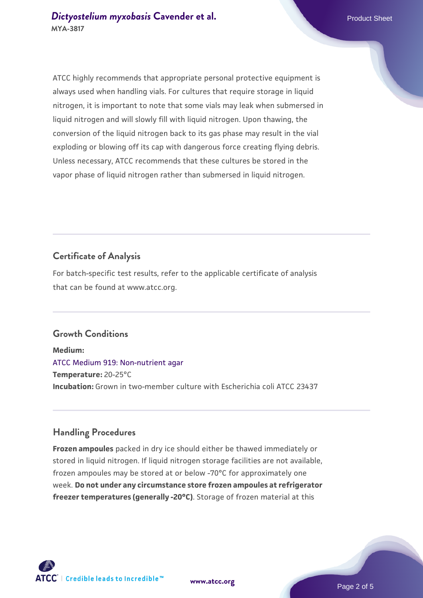ATCC highly recommends that appropriate personal protective equipment is always used when handling vials. For cultures that require storage in liquid nitrogen, it is important to note that some vials may leak when submersed in liquid nitrogen and will slowly fill with liquid nitrogen. Upon thawing, the conversion of the liquid nitrogen back to its gas phase may result in the vial exploding or blowing off its cap with dangerous force creating flying debris. Unless necessary, ATCC recommends that these cultures be stored in the vapor phase of liquid nitrogen rather than submersed in liquid nitrogen.

#### **Certificate of Analysis**

For batch-specific test results, refer to the applicable certificate of analysis that can be found at www.atcc.org.

#### **Growth Conditions**

**Medium:**  [ATCC Medium 919: Non-nutrient agar](https://www.atcc.org/-/media/product-assets/documents/microbial-media-formulations/9/1/9/atcc-medium-919.pdf?rev=f4e1e31d2b4249c2a4e4c31a4c703c9e) **Temperature:** 20-25°C **Incubation:** Grown in two-member culture with Escherichia coli ATCC 23437

## **Handling Procedures**

**Frozen ampoules** packed in dry ice should either be thawed immediately or stored in liquid nitrogen. If liquid nitrogen storage facilities are not available, frozen ampoules may be stored at or below -70°C for approximately one week. **Do not under any circumstance store frozen ampoules at refrigerator freezer temperatures (generally -20°C)**. Storage of frozen material at this

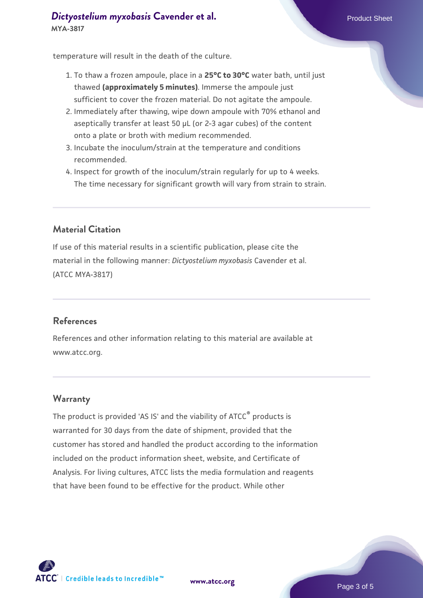#### **[Dictyostelium myxobasis](https://www.atcc.org/products/mya-3817) [Cavender et al.](https://www.atcc.org/products/mya-3817)** Product Sheet **MYA-3817**

temperature will result in the death of the culture.

- 1. To thaw a frozen ampoule, place in a **25°C to 30°C** water bath, until just thawed **(approximately 5 minutes)**. Immerse the ampoule just sufficient to cover the frozen material. Do not agitate the ampoule.
- 2. Immediately after thawing, wipe down ampoule with 70% ethanol and aseptically transfer at least 50 µL (or 2-3 agar cubes) of the content onto a plate or broth with medium recommended.
- 3. Incubate the inoculum/strain at the temperature and conditions recommended.
- 4. Inspect for growth of the inoculum/strain regularly for up to 4 weeks. The time necessary for significant growth will vary from strain to strain.

#### **Material Citation**

If use of this material results in a scientific publication, please cite the material in the following manner: *Dictyostelium myxobasis* Cavender et al. (ATCC MYA-3817)

#### **References**

References and other information relating to this material are available at www.atcc.org.

#### **Warranty**

The product is provided 'AS IS' and the viability of ATCC® products is warranted for 30 days from the date of shipment, provided that the customer has stored and handled the product according to the information included on the product information sheet, website, and Certificate of Analysis. For living cultures, ATCC lists the media formulation and reagents that have been found to be effective for the product. While other



**[www.atcc.org](http://www.atcc.org)**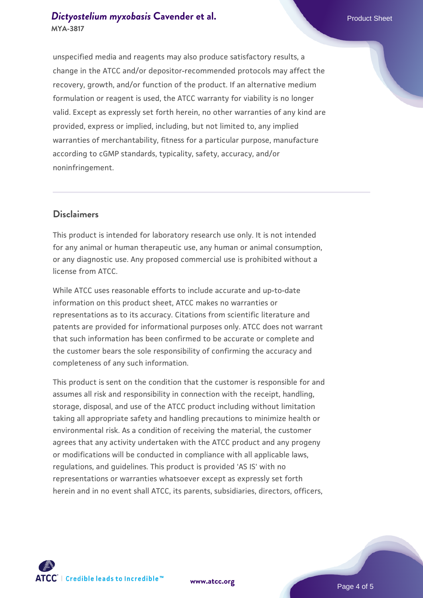#### **[Dictyostelium myxobasis](https://www.atcc.org/products/mya-3817) [Cavender et al.](https://www.atcc.org/products/mya-3817)** Product Sheet **MYA-3817**

unspecified media and reagents may also produce satisfactory results, a change in the ATCC and/or depositor-recommended protocols may affect the recovery, growth, and/or function of the product. If an alternative medium formulation or reagent is used, the ATCC warranty for viability is no longer valid. Except as expressly set forth herein, no other warranties of any kind are provided, express or implied, including, but not limited to, any implied warranties of merchantability, fitness for a particular purpose, manufacture according to cGMP standards, typicality, safety, accuracy, and/or noninfringement.

#### **Disclaimers**

This product is intended for laboratory research use only. It is not intended for any animal or human therapeutic use, any human or animal consumption, or any diagnostic use. Any proposed commercial use is prohibited without a license from ATCC.

While ATCC uses reasonable efforts to include accurate and up-to-date information on this product sheet, ATCC makes no warranties or representations as to its accuracy. Citations from scientific literature and patents are provided for informational purposes only. ATCC does not warrant that such information has been confirmed to be accurate or complete and the customer bears the sole responsibility of confirming the accuracy and completeness of any such information.

This product is sent on the condition that the customer is responsible for and assumes all risk and responsibility in connection with the receipt, handling, storage, disposal, and use of the ATCC product including without limitation taking all appropriate safety and handling precautions to minimize health or environmental risk. As a condition of receiving the material, the customer agrees that any activity undertaken with the ATCC product and any progeny or modifications will be conducted in compliance with all applicable laws, regulations, and guidelines. This product is provided 'AS IS' with no representations or warranties whatsoever except as expressly set forth herein and in no event shall ATCC, its parents, subsidiaries, directors, officers,